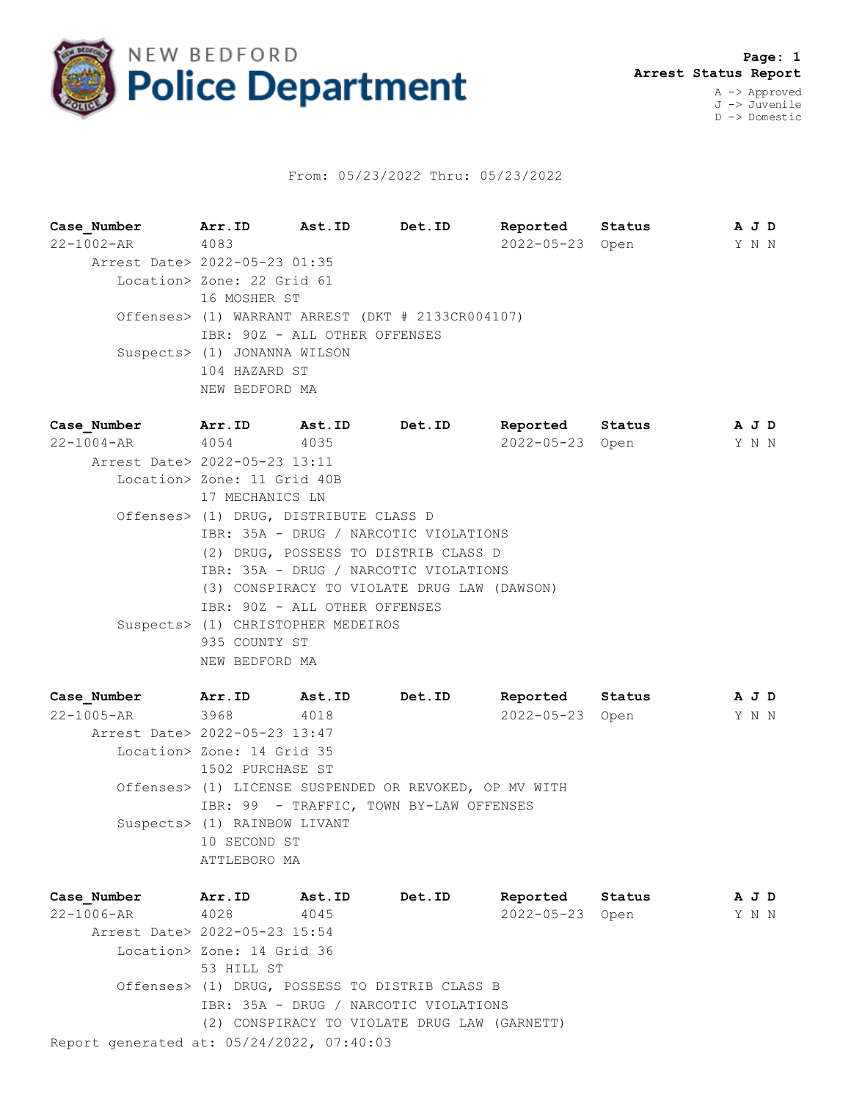

## From: 05/23/2022 Thru: 05/23/2022

**Case\_Number Arr.ID Ast.ID Det.ID Reported Status A J D** 22-1002-AR 4083 2022-05-23 Open Y N N Arrest Date> 2022-05-23 01:35 Location> Zone: 22 Grid 61 16 MOSHER ST Offenses> (1) WARRANT ARREST (DKT # 2133CR004107) IBR: 90Z - ALL OTHER OFFENSES Suspects> (1) JONANNA WILSON 104 HAZARD ST NEW BEDFORD MA **Case\_Number Arr.ID Ast.ID Det.ID Reported Status A J D** 22-1004-AR 4054 4035 2022-05-23 Open Y N N

 Arrest Date> 2022-05-23 13:11 Location> Zone: 11 Grid 40B 17 MECHANICS LN Offenses> (1) DRUG, DISTRIBUTE CLASS D IBR: 35A - DRUG / NARCOTIC VIOLATIONS (2) DRUG, POSSESS TO DISTRIB CLASS D IBR: 35A - DRUG / NARCOTIC VIOLATIONS (3) CONSPIRACY TO VIOLATE DRUG LAW (DAWSON) IBR: 90Z - ALL OTHER OFFENSES Suspects> (1) CHRISTOPHER MEDEIROS 935 COUNTY ST NEW BEDFORD MA

**Case\_Number Arr.ID Ast.ID Det.ID Reported Status A J D** 22-1005-AR 3968 4018 2022-05-23 Open Y N N Arrest Date> 2022-05-23 13:47 Location> Zone: 14 Grid 35 1502 PURCHASE ST Offenses> (1) LICENSE SUSPENDED OR REVOKED, OP MV WITH IBR: 99 - TRAFFIC, TOWN BY-LAW OFFENSES Suspects> (1) RAINBOW LIVANT 10 SECOND ST ATTLEBORO MA

Report generated at: 05/24/2022, 07:40:03 **Case\_Number Arr.ID Ast.ID Det.ID Reported Status A J D** 22-1006-AR 4028 4045 2022-05-23 Open Y N N Arrest Date> 2022-05-23 15:54 Location> Zone: 14 Grid 36 53 HILL ST Offenses> (1) DRUG, POSSESS TO DISTRIB CLASS B IBR: 35A - DRUG / NARCOTIC VIOLATIONS (2) CONSPIRACY TO VIOLATE DRUG LAW (GARNETT)